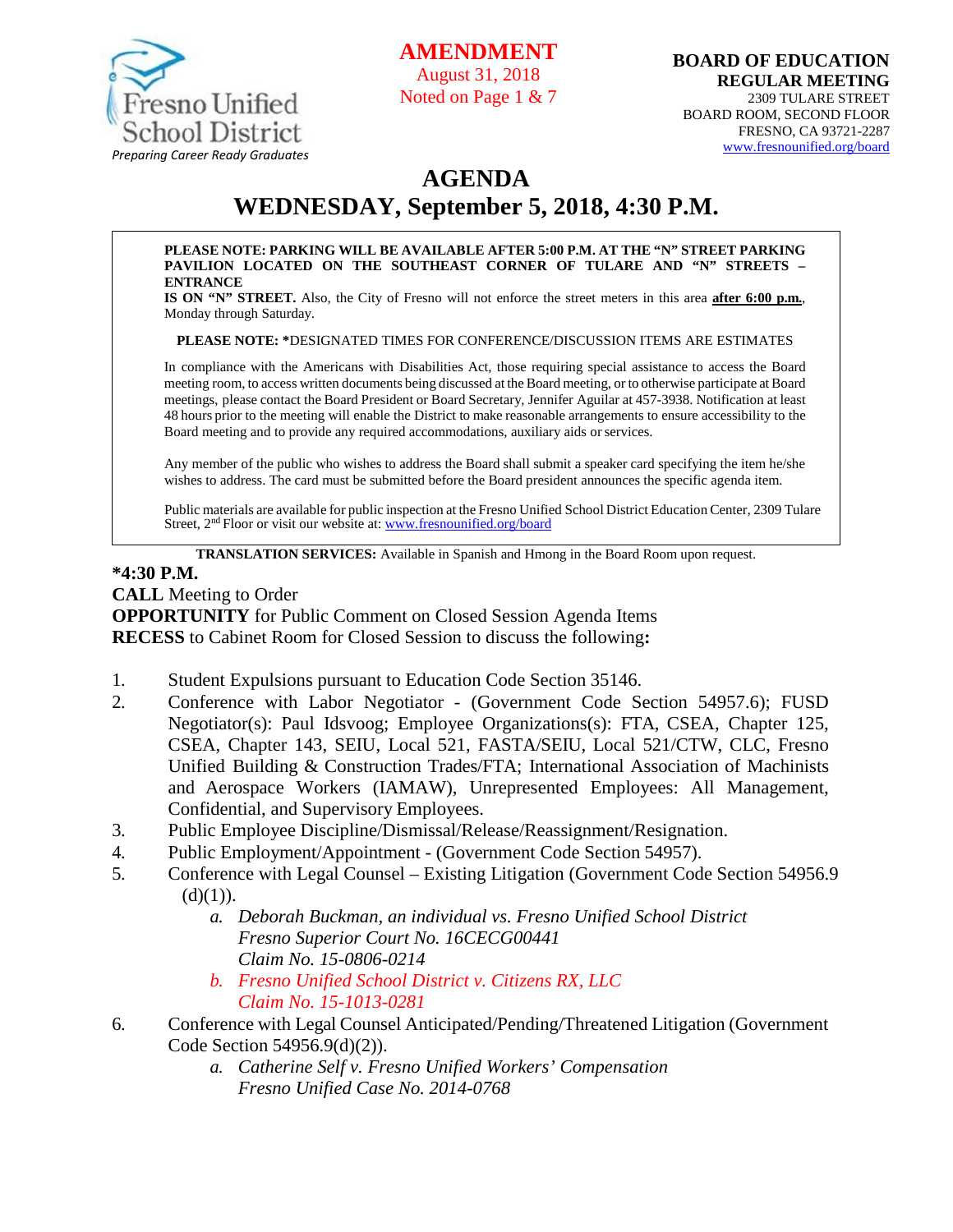

**AMENDMEN** 

August 31, 2018 Noted on Page 1 & 7

## **AGENDA**

# **WEDNESDAY, September 5, 2018, 4:30 P.M.**

#### **PLEASE NOTE: PARKING WILL BE AVAILABLE AFTER 5:00 P.M. AT THE "N" STREET PARKING PAVILION LOCATED ON THE SOUTHEAST CORNER OF TULARE AND "N" STREETS – ENTRANCE**

**IS ON "N" STREET.** Also, the City of Fresno will not enforce the street meters in this area **after 6:00 p.m.**, Monday through Saturday.

**PLEASE NOTE: \***DESIGNATED TIMES FOR CONFERENCE/DISCUSSION ITEMS ARE ESTIMATES

In compliance with the Americans with Disabilities Act, those requiring special assistance to access the Board meeting room, to access written documents being discussed at the Board meeting, or to otherwise participate at Board meetings, please contact the Board President or Board Secretary, Jennifer Aguilar at 457-3938. Notification at least 48 hours prior to the meeting will enable the District to make reasonable arrangements to ensure accessibility to the Board meeting and to provide any required accommodations, auxiliary aids orservices.

Any member of the public who wishes to address the Board shall submit a speaker card specifying the item he/she wishes to address. The card must be submitted before the Board president announces the specific agenda item.

Public materials are available for public inspection at the Fresno Unified School District Education Center, 2309 Tulare Street, 2nd Floor or visit our website at: [www.fresnounified.org/board](http://www.fresnounified.org/board)

**TRANSLATION SERVICES:** Available in Spanish and Hmong in the Board Room upon request.

#### **\*4:30 P.M.**

**CALL** Meeting to Order

**OPPORTUNITY** for Public Comment on Closed Session Agenda Items **RECESS** to Cabinet Room for Closed Session to discuss the following**:**

- 1. Student Expulsions pursuant to Education Code Section 35146.
- 2. Conference with Labor Negotiator (Government Code Section 54957.6); FUSD Negotiator(s): Paul Idsvoog; Employee Organizations(s): FTA, CSEA, Chapter 125, CSEA, Chapter 143, SEIU, Local 521, FASTA/SEIU, Local 521/CTW, CLC, Fresno Unified Building & Construction Trades/FTA; International Association of Machinists and Aerospace Workers (IAMAW), Unrepresented Employees: All Management, Confidential, and Supervisory Employees.
- 3. Public Employee Discipline/Dismissal/Release/Reassignment/Resignation.
- 4. Public Employment/Appointment (Government Code Section 54957).
- 5. Conference with Legal Counsel Existing Litigation (Government Code Section 54956.9  $(d)(1)$ ).
	- *a. Deborah Buckman, an individual vs. Fresno Unified School District Fresno Superior Court No. 16CECG00441 Claim No. 15-0806-0214*
	- *b. Fresno Unified School District v. Citizens RX, LLC Claim No. 15-1013-0281*
- 6. Conference with Legal Counsel Anticipated/Pending/Threatened Litigation (Government Code Section 54956.9(d)(2)).
	- *a. Catherine Self v. Fresno Unified Workers' Compensation Fresno Unified Case No. 2014-0768*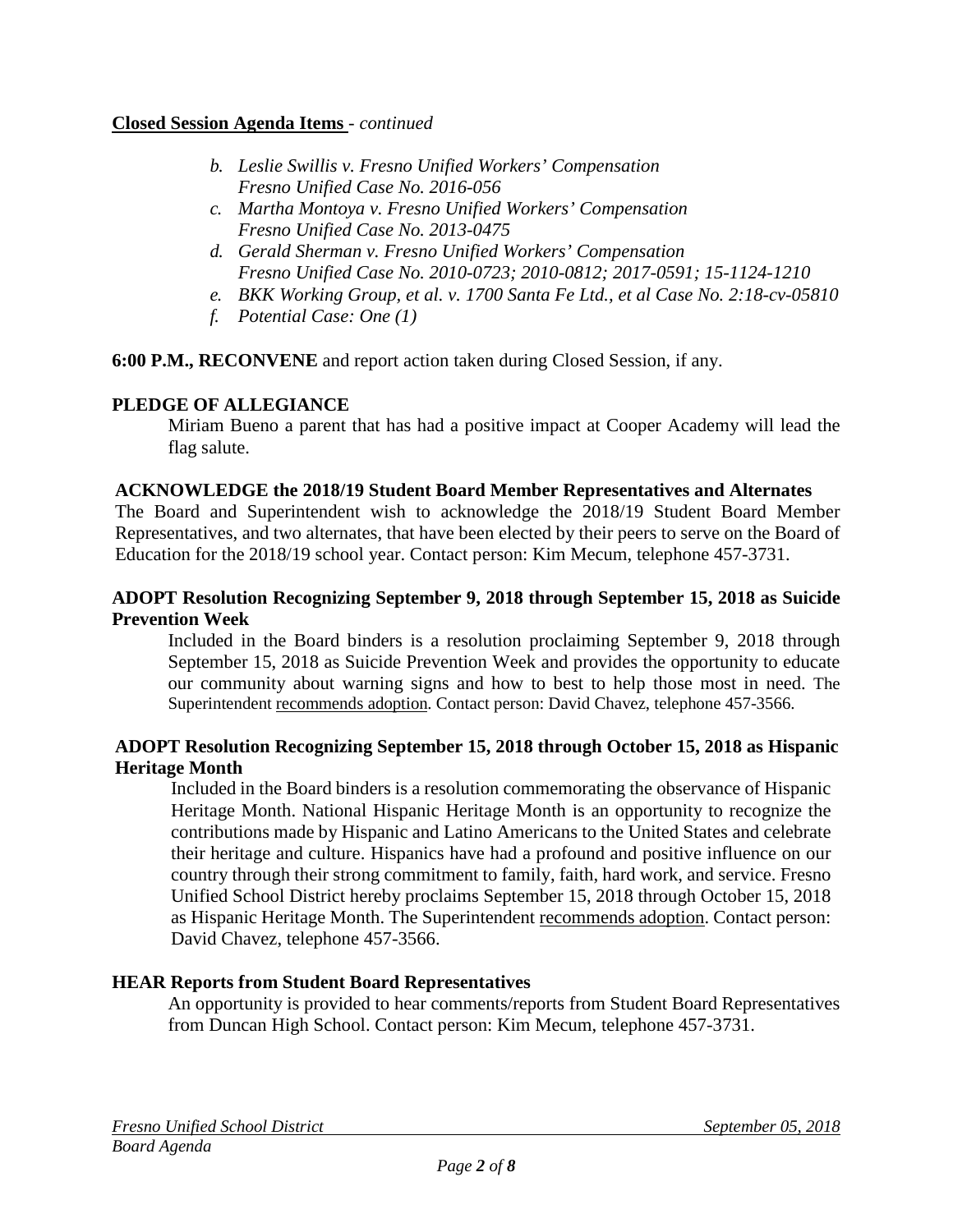#### **Closed Session Agenda Items** - *continued*

- *b. Leslie Swillis v. Fresno Unified Workers' Compensation Fresno Unified Case No. 2016-056*
- *c. Martha Montoya v. Fresno Unified Workers' Compensation Fresno Unified Case No. 2013-0475*
- *d. Gerald Sherman v. Fresno Unified Workers' Compensation Fresno Unified Case No. 2010-0723; 2010-0812; 2017-0591; 15-1124-1210*
- *e. BKK Working Group, et al. v. 1700 Santa Fe Ltd., et al Case No. 2:18-cv-05810*
- *f. Potential Case: One (1)*

**6:00 P.M., RECONVENE** and report action taken during Closed Session, if any.

## **PLEDGE OF ALLEGIANCE**

Miriam Bueno a parent that has had a positive impact at Cooper Academy will lead the flag salute.

## **ACKNOWLEDGE the 2018/19 Student Board Member Representatives and Alternates**

The Board and Superintendent wish to acknowledge the 2018/19 Student Board Member Representatives, and two alternates, that have been elected by their peers to serve on the Board of Education for the 2018/19 school year. Contact person: Kim Mecum, telephone 457-3731.

## **ADOPT Resolution Recognizing September 9, 2018 through September 15, 2018 as Suicide Prevention Week**

Included in the Board binders is a resolution proclaiming September 9, 2018 through September 15, 2018 as Suicide Prevention Week and provides the opportunity to educate our community about warning signs and how to best to help those most in need. The Superintendent recommends adoption. Contact person: David Chavez, telephone 457-3566.

## **ADOPT Resolution Recognizing September 15, 2018 through October 15, 2018 as Hispanic Heritage Month**

Included in the Board binders is a resolution commemorating the observance of Hispanic Heritage Month. National Hispanic Heritage Month is an opportunity to recognize the contributions made by Hispanic and Latino Americans to the United States and celebrate their heritage and culture. Hispanics have had a profound and positive influence on our country through their strong commitment to family, faith, hard work, and service. Fresno Unified School District hereby proclaims September 15, 2018 through October 15, 2018 as Hispanic Heritage Month. The Superintendent recommends adoption. Contact person: David Chavez, telephone 457-3566.

## **HEAR Reports from Student Board Representatives**

An opportunity is provided to hear comments/reports from Student Board Representatives from Duncan High School. Contact person: Kim Mecum, telephone 457-3731.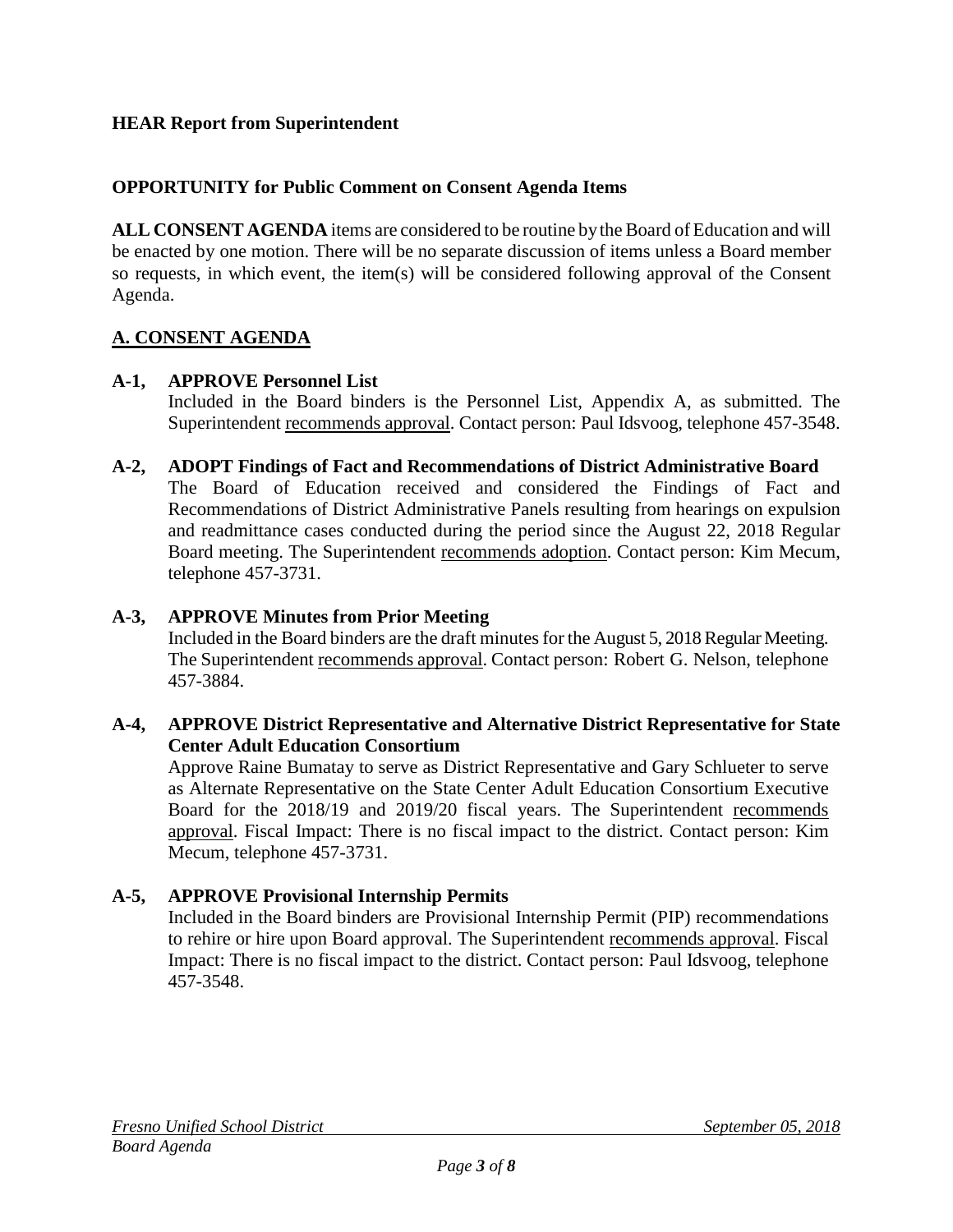## **HEAR Report from Superintendent**

## **OPPORTUNITY for Public Comment on Consent Agenda Items**

**ALL CONSENT AGENDA** items are considered to be routine bythe Board of Education and will be enacted by one motion. There will be no separate discussion of items unless a Board member so requests, in which event, the item(s) will be considered following approval of the Consent Agenda.

## **A. CONSENT AGENDA**

## **A-1, APPROVE Personnel List**

Included in the Board binders is the Personnel List, Appendix A, as submitted. The Superintendent recommends approval. Contact person: Paul Idsvoog, telephone 457-3548.

## **A-2, ADOPT Findings of Fact and Recommendations of District Administrative Board**

The Board of Education received and considered the Findings of Fact and Recommendations of District Administrative Panels resulting from hearings on expulsion and readmittance cases conducted during the period since the August 22, 2018 Regular Board meeting. The Superintendent recommends adoption. Contact person: Kim Mecum, telephone 457-3731.

#### **A-3, APPROVE Minutes from Prior Meeting**

Included in the Board binders are the draft minutes for the August 5, 2018 Regular Meeting. The Superintendent recommends approval. Contact person: Robert G. Nelson, telephone 457-3884.

#### **A-4, APPROVE District Representative and Alternative District Representative for State Center Adult Education Consortium**

Approve Raine Bumatay to serve as District Representative and Gary Schlueter to serve as Alternate Representative on the State Center Adult Education Consortium Executive Board for the 2018/19 and 2019/20 fiscal years. The Superintendent recommends approval. Fiscal Impact: There is no fiscal impact to the district. Contact person: Kim Mecum, telephone 457-3731.

#### **A-5, APPROVE Provisional Internship Permits**

Included in the Board binders are Provisional Internship Permit (PIP) recommendations to rehire or hire upon Board approval. The Superintendent recommends approval. Fiscal Impact: There is no fiscal impact to the district. Contact person: Paul Idsvoog, telephone 457-3548.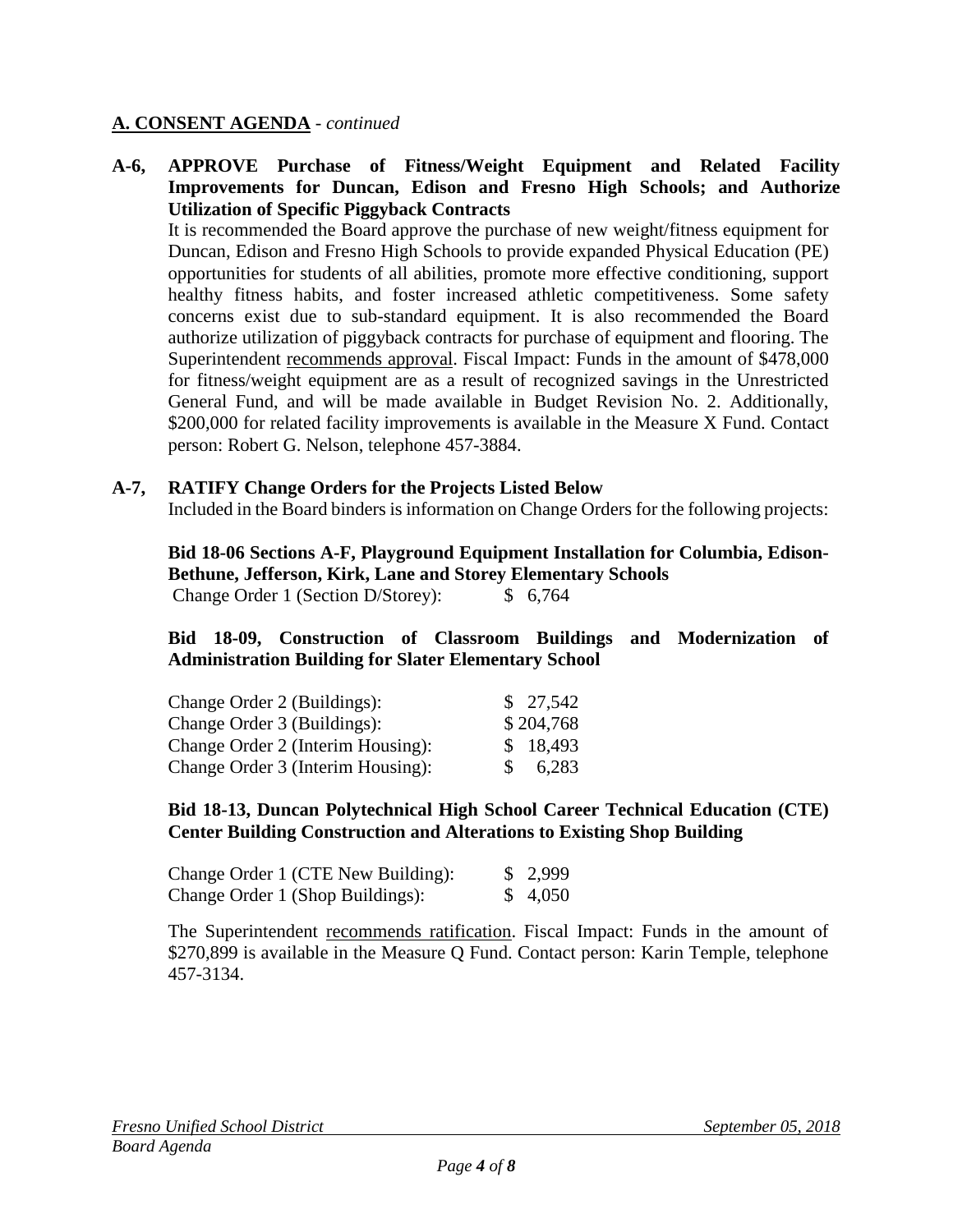#### **A. CONSENT AGENDA** - *continued*

#### **A-6, APPROVE Purchase of Fitness/Weight Equipment and Related Facility Improvements for Duncan, Edison and Fresno High Schools; and Authorize Utilization of Specific Piggyback Contracts**

It is recommended the Board approve the purchase of new weight/fitness equipment for Duncan, Edison and Fresno High Schools to provide expanded Physical Education (PE) opportunities for students of all abilities, promote more effective conditioning, support healthy fitness habits, and foster increased athletic competitiveness. Some safety concerns exist due to sub-standard equipment. It is also recommended the Board authorize utilization of piggyback contracts for purchase of equipment and flooring. The Superintendent recommends approval. Fiscal Impact: Funds in the amount of \$478,000 for fitness/weight equipment are as a result of recognized savings in the Unrestricted General Fund, and will be made available in Budget Revision No. 2. Additionally, \$200,000 for related facility improvements is available in the Measure X Fund. Contact person: Robert G. Nelson, telephone 457-3884.

#### **A-7, RATIFY Change Orders for the Projects Listed Below**

Included in the Board binders is information on Change Orders for the following projects:

**Bid 18-06 Sections A-F, Playground Equipment Installation for Columbia, Edison-Bethune, Jefferson, Kirk, Lane and Storey Elementary Schools** Change Order 1 (Section D/Storey): \$ 6,764

**Bid 18-09, Construction of Classroom Buildings and Modernization of Administration Building for Slater Elementary School** 

| Change Order 2 (Buildings):       |    | \$27,542  |
|-----------------------------------|----|-----------|
| Change Order 3 (Buildings):       |    | \$204,768 |
| Change Order 2 (Interim Housing): |    | \$18,493  |
| Change Order 3 (Interim Housing): | S. | 6,283     |

#### **Bid 18-13, Duncan Polytechnical High School Career Technical Education (CTE) Center Building Construction and Alterations to Existing Shop Building**

| Change Order 1 (CTE New Building): | \$2,999 |
|------------------------------------|---------|
| Change Order 1 (Shop Buildings):   | \$4,050 |

The Superintendent recommends ratification. Fiscal Impact: Funds in the amount of \$270,899 is available in the Measure Q Fund. Contact person: Karin Temple, telephone 457-3134.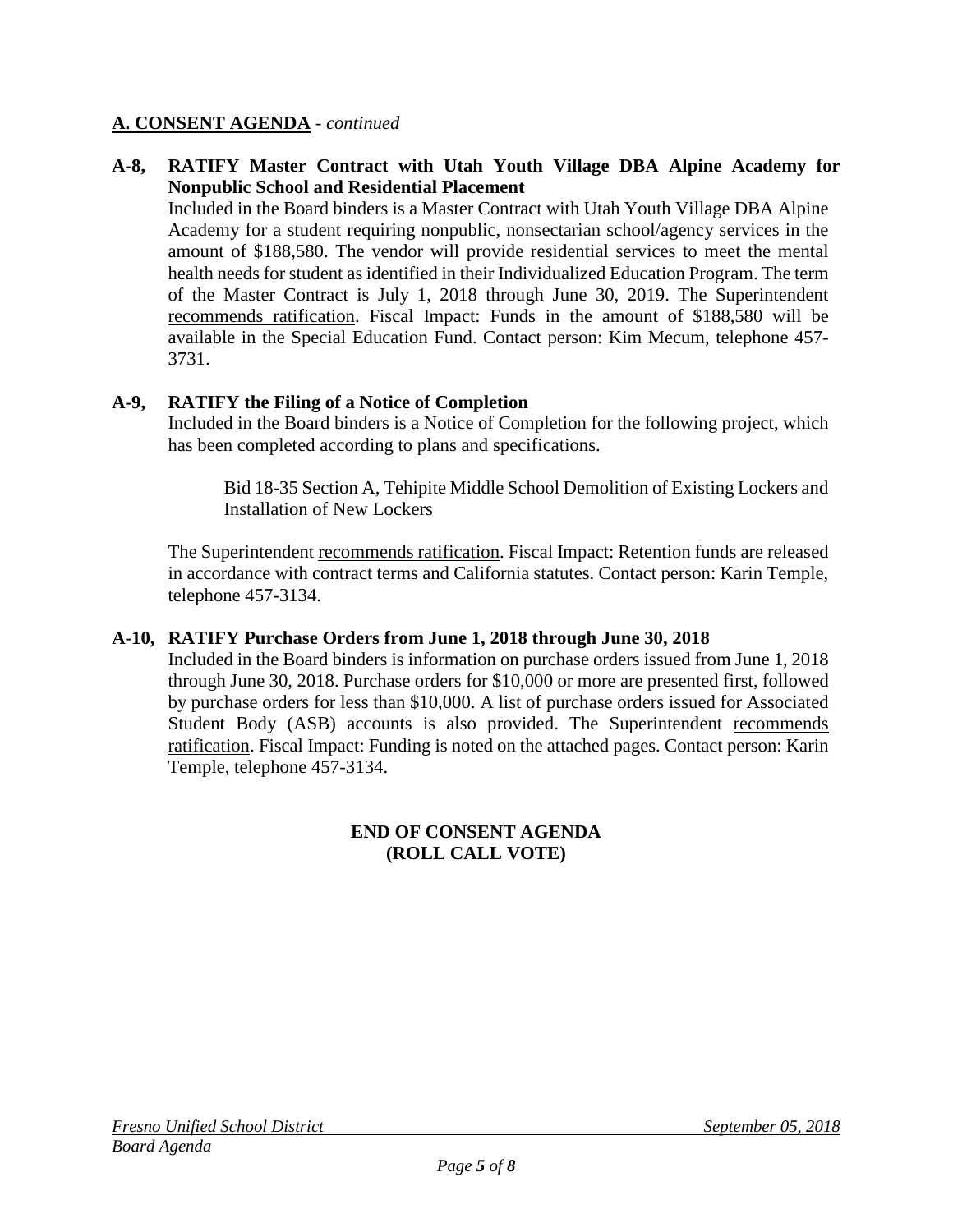#### **A. CONSENT AGENDA** - *continued*

## **A-8, RATIFY Master Contract with Utah Youth Village DBA Alpine Academy for Nonpublic School and Residential Placement**

Included in the Board binders is a Master Contract with Utah Youth Village DBA Alpine Academy for a student requiring nonpublic, nonsectarian school/agency services in the amount of \$188,580. The vendor will provide residential services to meet the mental health needs for student as identified in their Individualized Education Program. The term of the Master Contract is July 1, 2018 through June 30, 2019. The Superintendent recommends ratification. Fiscal Impact: Funds in the amount of \$188,580 will be available in the Special Education Fund. Contact person: Kim Mecum, telephone 457- 3731.

## **A-9, RATIFY the Filing of a Notice of Completion**

Included in the Board binders is a Notice of Completion for the following project, which has been completed according to plans and specifications.

Bid 18-35 Section A, Tehipite Middle School Demolition of Existing Lockers and Installation of New Lockers

The Superintendent recommends ratification. Fiscal Impact: Retention funds are released in accordance with contract terms and California statutes. Contact person: Karin Temple, telephone 457-3134.

#### **A-10, RATIFY Purchase Orders from June 1, 2018 through June 30, 2018**

Included in the Board binders is information on purchase orders issued from June 1, 2018 through June 30, 2018. Purchase orders for \$10,000 or more are presented first, followed by purchase orders for less than \$10,000. A list of purchase orders issued for Associated Student Body (ASB) accounts is also provided. The Superintendent recommends ratification. Fiscal Impact: Funding is noted on the attached pages. Contact person: Karin Temple, telephone 457-3134.

## **END OF CONSENT AGENDA (ROLL CALL VOTE)**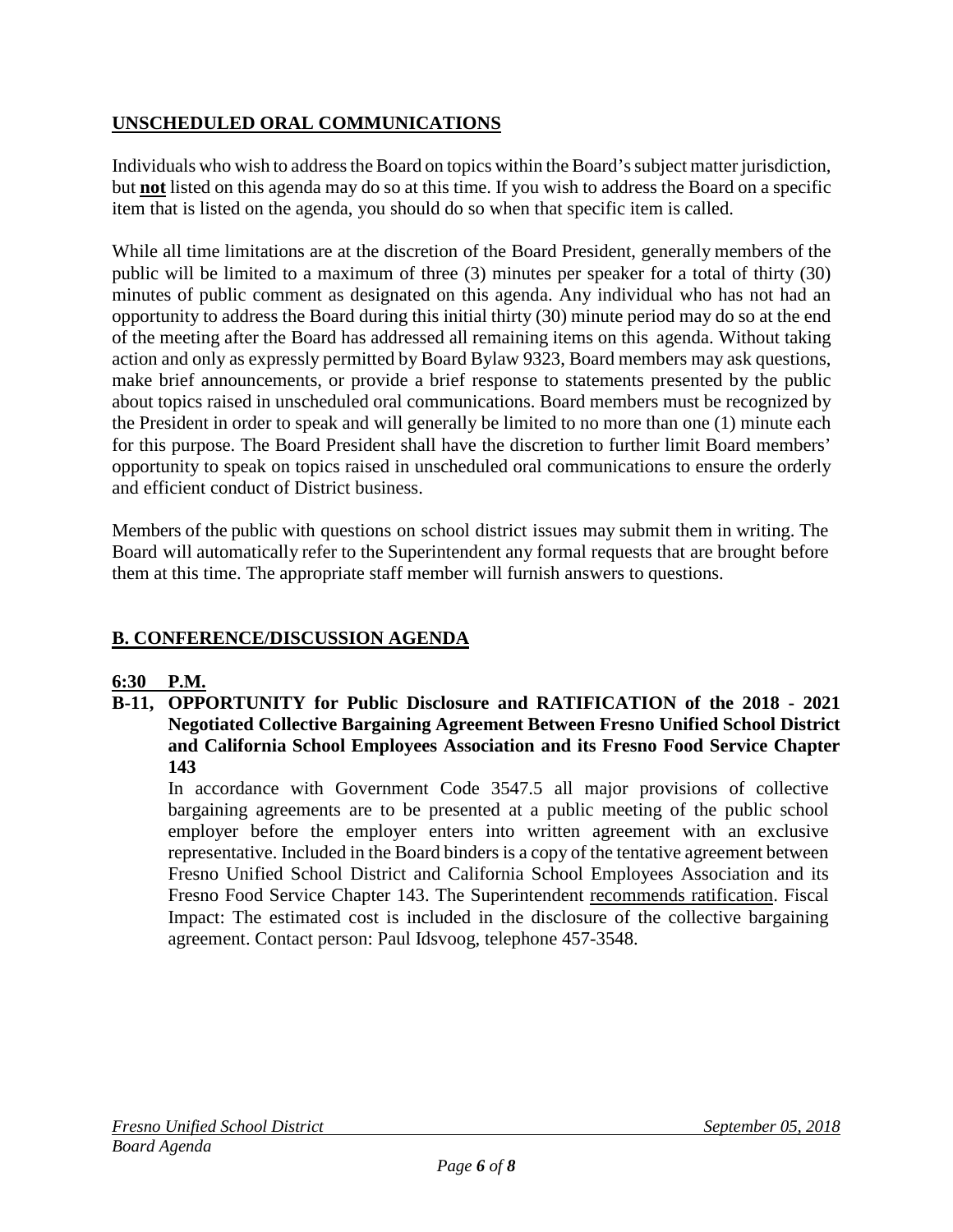## **UNSCHEDULED ORAL COMMUNICATIONS**

Individuals who wish to address the Board on topics within the Board's subject matter jurisdiction, but **not** listed on this agenda may do so at this time. If you wish to address the Board on a specific item that is listed on the agenda, you should do so when that specific item is called.

While all time limitations are at the discretion of the Board President, generally members of the public will be limited to a maximum of three (3) minutes per speaker for a total of thirty (30) minutes of public comment as designated on this agenda. Any individual who has not had an opportunity to address the Board during this initial thirty (30) minute period may do so at the end of the meeting after the Board has addressed all remaining items on this agenda. Without taking action and only as expressly permitted by Board Bylaw 9323, Board members may ask questions, make brief announcements, or provide a brief response to statements presented by the public about topics raised in unscheduled oral communications. Board members must be recognized by the President in order to speak and will generally be limited to no more than one (1) minute each for this purpose. The Board President shall have the discretion to further limit Board members' opportunity to speak on topics raised in unscheduled oral communications to ensure the orderly and efficient conduct of District business.

Members of the public with questions on school district issues may submit them in writing. The Board will automatically refer to the Superintendent any formal requests that are brought before them at this time. The appropriate staff member will furnish answers to questions.

## **B. CONFERENCE/DISCUSSION AGENDA**

## **6:30 P.M.**

**B-11, OPPORTUNITY for Public Disclosure and RATIFICATION of the 2018 - 2021 Negotiated Collective Bargaining Agreement Between Fresno Unified School District and California School Employees Association and its Fresno Food Service Chapter 143**

In accordance with Government Code 3547.5 all major provisions of collective bargaining agreements are to be presented at a public meeting of the public school employer before the employer enters into written agreement with an exclusive representative. Included in the Board binders is a copy of the tentative agreement between Fresno Unified School District and California School Employees Association and its Fresno Food Service Chapter 143. The Superintendent recommends ratification. Fiscal Impact: The estimated cost is included in the disclosure of the collective bargaining agreement. Contact person: Paul Idsvoog, telephone 457-3548.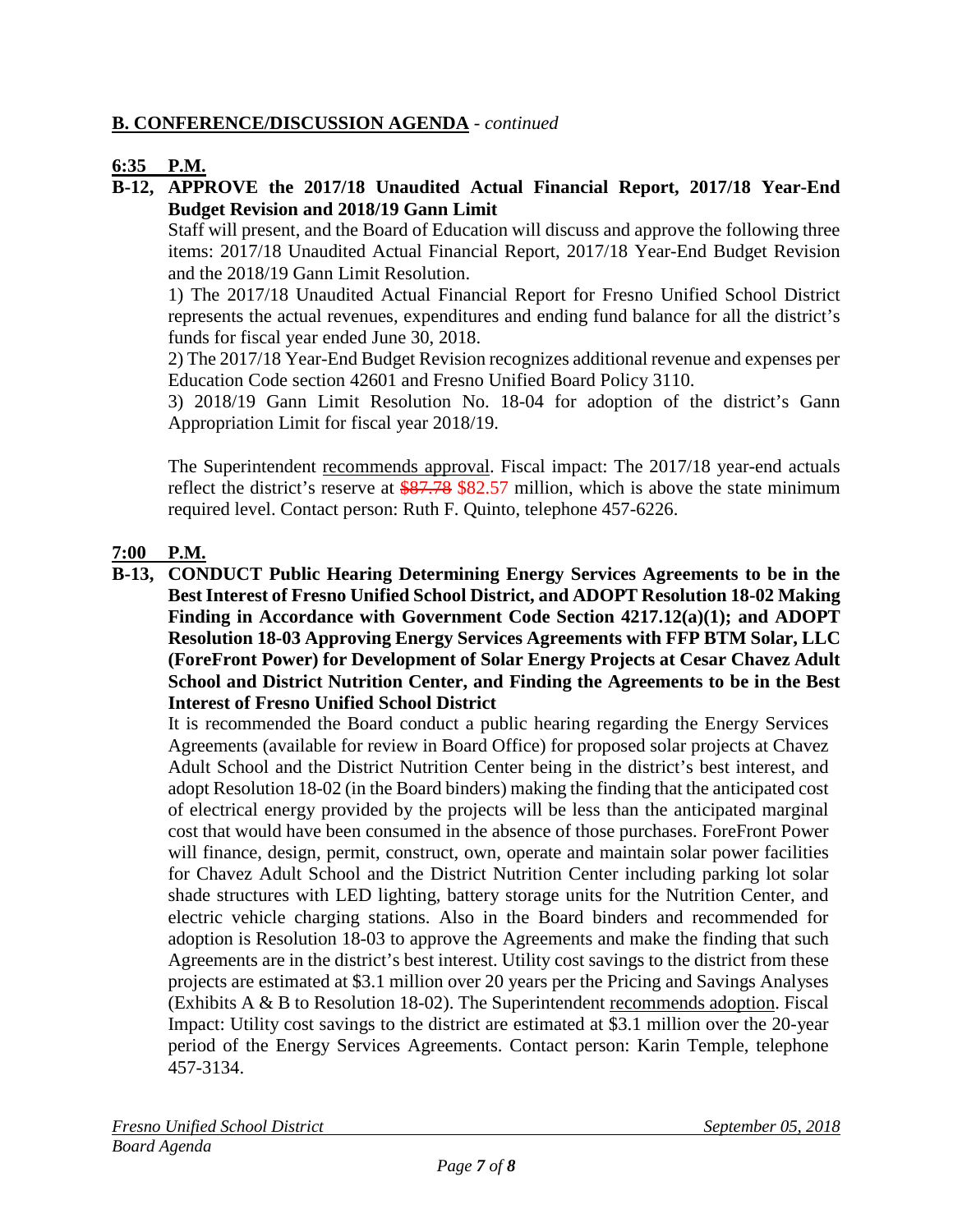## **B. CONFERENCE/DISCUSSION AGENDA** - *continued*

### **6:35 P.M.**

**B-12, APPROVE the 2017/18 Unaudited Actual Financial Report, 2017/18 Year-End Budget Revision and 2018/19 Gann Limit**

Staff will present, and the Board of Education will discuss and approve the following three items: 2017/18 Unaudited Actual Financial Report, 2017/18 Year-End Budget Revision and the 2018/19 Gann Limit Resolution.

1) The 2017/18 Unaudited Actual Financial Report for Fresno Unified School District represents the actual revenues, expenditures and ending fund balance for all the district's funds for fiscal year ended June 30, 2018.

2) The 2017/18 Year-End Budget Revision recognizes additional revenue and expenses per Education Code section 42601 and Fresno Unified Board Policy 3110.

3) 2018/19 Gann Limit Resolution No. 18-04 for adoption of the district's Gann Appropriation Limit for fiscal year 2018/19.

The Superintendent recommends approval. Fiscal impact: The 2017/18 year-end actuals reflect the district's reserve at \$87.78 \$82.57 million, which is above the state minimum required level. Contact person: Ruth F. Quinto, telephone 457-6226.

## **7:00 P.M.**

**B-13, CONDUCT Public Hearing Determining Energy Services Agreements to be in the Best Interest of Fresno Unified School District, and ADOPT Resolution 18-02 Making Finding in Accordance with Government Code Section 4217.12(a)(1); and ADOPT Resolution 18-03 Approving Energy Services Agreements with FFP BTM Solar, LLC (ForeFront Power) for Development of Solar Energy Projects at Cesar Chavez Adult School and District Nutrition Center, and Finding the Agreements to be in the Best Interest of Fresno Unified School District**

It is recommended the Board conduct a public hearing regarding the Energy Services Agreements (available for review in Board Office) for proposed solar projects at Chavez Adult School and the District Nutrition Center being in the district's best interest, and adopt Resolution 18-02 (in the Board binders) making the finding that the anticipated cost of electrical energy provided by the projects will be less than the anticipated marginal cost that would have been consumed in the absence of those purchases. ForeFront Power will finance, design, permit, construct, own, operate and maintain solar power facilities for Chavez Adult School and the District Nutrition Center including parking lot solar shade structures with LED lighting, battery storage units for the Nutrition Center, and electric vehicle charging stations. Also in the Board binders and recommended for adoption is Resolution 18-03 to approve the Agreements and make the finding that such Agreements are in the district's best interest. Utility cost savings to the district from these projects are estimated at \$3.1 million over 20 years per the Pricing and Savings Analyses (Exhibits A & B to Resolution 18-02). The Superintendent recommends adoption. Fiscal Impact: Utility cost savings to the district are estimated at \$3.1 million over the 20-year period of the Energy Services Agreements. Contact person: Karin Temple, telephone 457-3134.